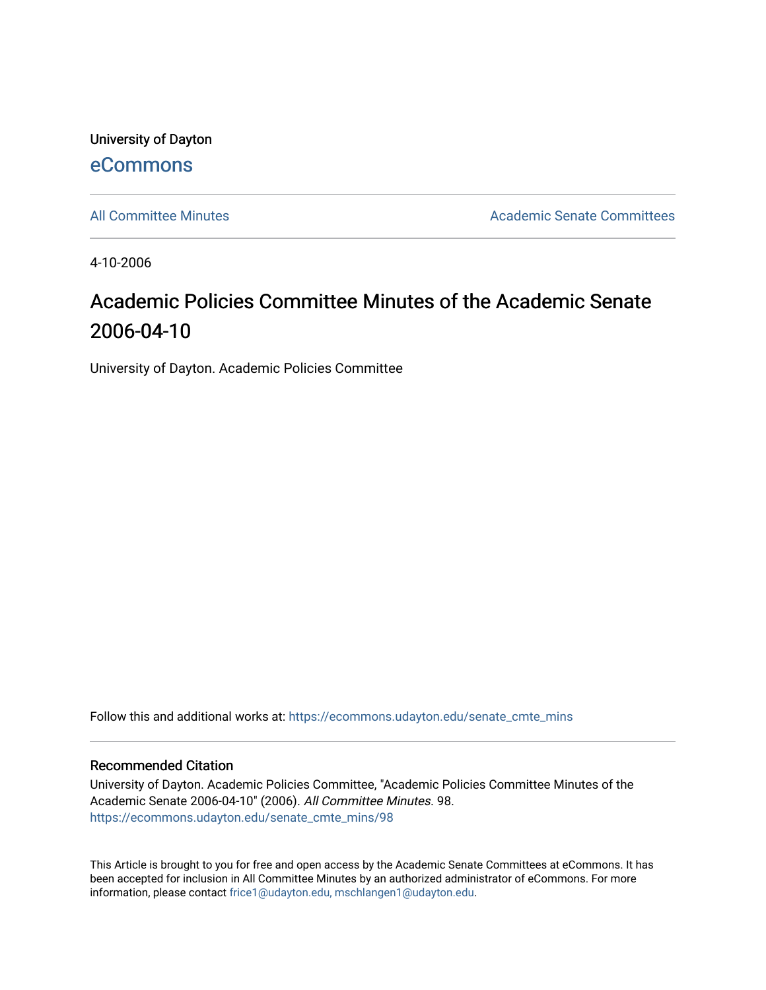University of Dayton [eCommons](https://ecommons.udayton.edu/)

[All Committee Minutes](https://ecommons.udayton.edu/senate_cmte_mins) Academic Senate Committees

4-10-2006

# Academic Policies Committee Minutes of the Academic Senate 2006-04-10

University of Dayton. Academic Policies Committee

Follow this and additional works at: [https://ecommons.udayton.edu/senate\\_cmte\\_mins](https://ecommons.udayton.edu/senate_cmte_mins?utm_source=ecommons.udayton.edu%2Fsenate_cmte_mins%2F98&utm_medium=PDF&utm_campaign=PDFCoverPages)

#### Recommended Citation

University of Dayton. Academic Policies Committee, "Academic Policies Committee Minutes of the Academic Senate 2006-04-10" (2006). All Committee Minutes. 98. [https://ecommons.udayton.edu/senate\\_cmte\\_mins/98](https://ecommons.udayton.edu/senate_cmte_mins/98?utm_source=ecommons.udayton.edu%2Fsenate_cmte_mins%2F98&utm_medium=PDF&utm_campaign=PDFCoverPages) 

This Article is brought to you for free and open access by the Academic Senate Committees at eCommons. It has been accepted for inclusion in All Committee Minutes by an authorized administrator of eCommons. For more information, please contact [frice1@udayton.edu, mschlangen1@udayton.edu](mailto:frice1@udayton.edu,%20mschlangen1@udayton.edu).